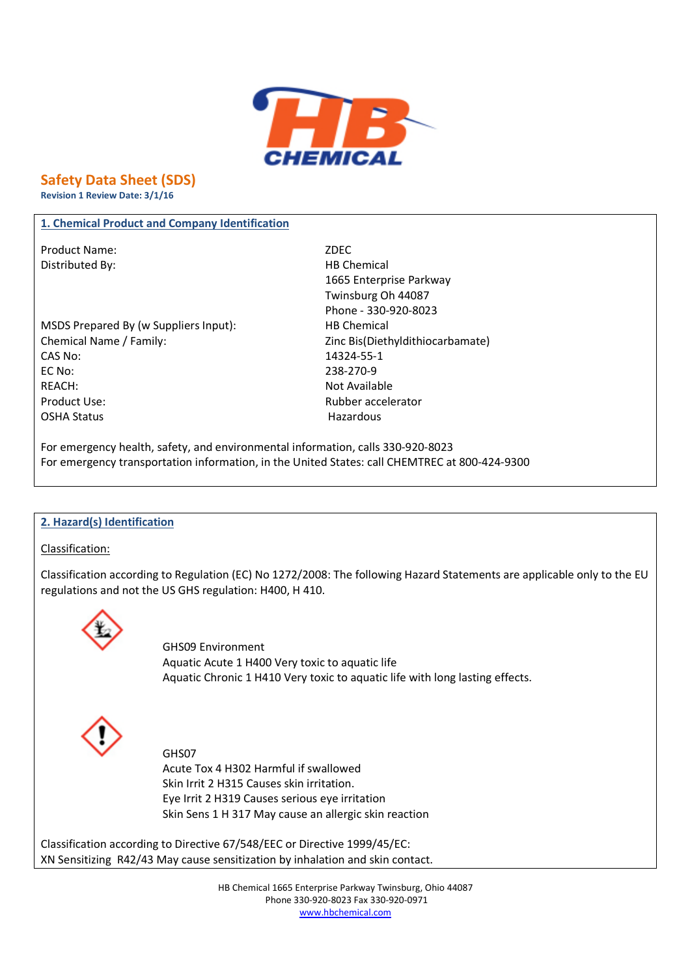

**Safety Data Sheet (SDS)** 

**Revision 1 Review Date: 3/1/16** 

#### 1. Chemical Product and Company Identification

Product Name: Distributed By:

MSDS Prepared By (w Suppliers Input): Chemical Name / Family: CAS No: EC No: **REACH:** Product Use: **OSHA Status** 

ZDFC **HB Chemical** 1665 Enterprise Parkway Twinsburg Oh 44087 Phone - 330-920-8023 **HB Chemical** Zinc Bis(Diethyldithiocarbamate) 14324-55-1 238-270-9 Not Available **Rubber accelerator** Hazardous

For emergency health, safety, and environmental information, calls 330-920-8023 For emergency transportation information, in the United States: call CHEMTREC at 800-424-9300

#### 2. Hazard(s) Identification

Classification:

Classification according to Regulation (EC) No 1272/2008: The following Hazard Statements are applicable only to the EU regulations and not the US GHS regulation: H400, H410.



**GHS09 Environment** Aquatic Acute 1 H400 Very toxic to aquatic life Aquatic Chronic 1 H410 Very toxic to aquatic life with long lasting effects.



GHS07 Acute Tox 4 H302 Harmful if swallowed Skin Irrit 2 H315 Causes skin irritation. Eye Irrit 2 H319 Causes serious eye irritation Skin Sens 1 H 317 May cause an allergic skin reaction

Classification according to Directive 67/548/EEC or Directive 1999/45/EC: XN Sensitizing R42/43 May cause sensitization by inhalation and skin contact.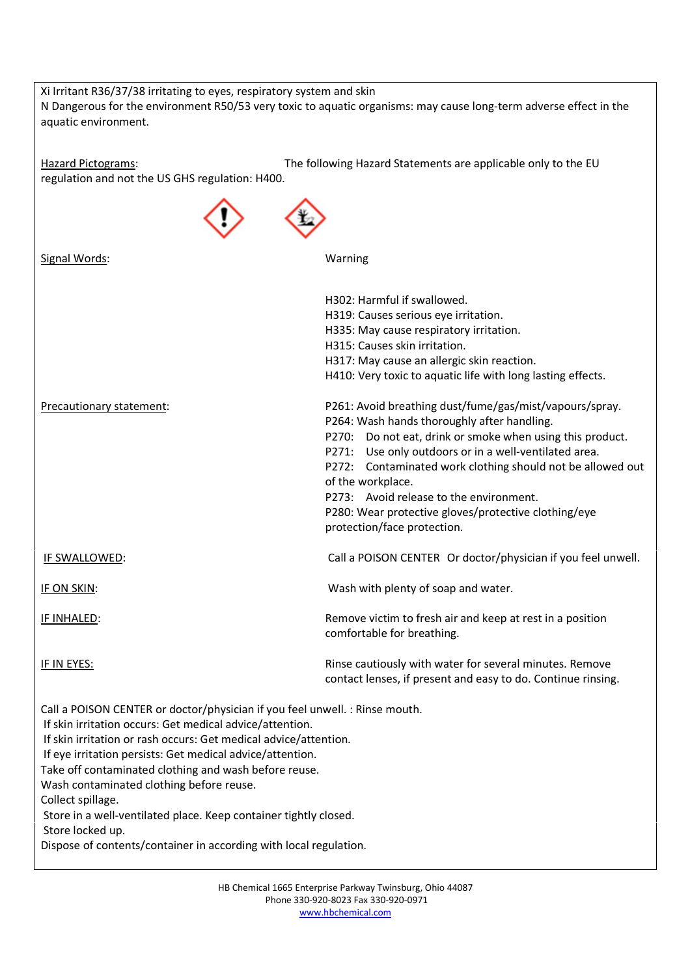| Xi Irritant R36/37/38 irritating to eyes, respiratory system and skin<br>N Dangerous for the environment R50/53 very toxic to aquatic organisms: may cause long-term adverse effect in the<br>aquatic environment.                                                                                                                                                                                                                                                                                                                                              |                                                                                                                                                                                                                                                                                                                                                                                                                                                      |  |
|-----------------------------------------------------------------------------------------------------------------------------------------------------------------------------------------------------------------------------------------------------------------------------------------------------------------------------------------------------------------------------------------------------------------------------------------------------------------------------------------------------------------------------------------------------------------|------------------------------------------------------------------------------------------------------------------------------------------------------------------------------------------------------------------------------------------------------------------------------------------------------------------------------------------------------------------------------------------------------------------------------------------------------|--|
| <b>Hazard Pictograms:</b><br>regulation and not the US GHS regulation: H400.                                                                                                                                                                                                                                                                                                                                                                                                                                                                                    | The following Hazard Statements are applicable only to the EU                                                                                                                                                                                                                                                                                                                                                                                        |  |
|                                                                                                                                                                                                                                                                                                                                                                                                                                                                                                                                                                 |                                                                                                                                                                                                                                                                                                                                                                                                                                                      |  |
| Signal Words:                                                                                                                                                                                                                                                                                                                                                                                                                                                                                                                                                   | Warning                                                                                                                                                                                                                                                                                                                                                                                                                                              |  |
|                                                                                                                                                                                                                                                                                                                                                                                                                                                                                                                                                                 | H302: Harmful if swallowed.<br>H319: Causes serious eye irritation.<br>H335: May cause respiratory irritation.<br>H315: Causes skin irritation.<br>H317: May cause an allergic skin reaction.<br>H410: Very toxic to aquatic life with long lasting effects.                                                                                                                                                                                         |  |
| Precautionary statement:                                                                                                                                                                                                                                                                                                                                                                                                                                                                                                                                        | P261: Avoid breathing dust/fume/gas/mist/vapours/spray.<br>P264: Wash hands thoroughly after handling.<br>Do not eat, drink or smoke when using this product.<br>P270:<br>P271: Use only outdoors or in a well-ventilated area.<br>P272: Contaminated work clothing should not be allowed out<br>of the workplace.<br>P273: Avoid release to the environment.<br>P280: Wear protective gloves/protective clothing/eye<br>protection/face protection. |  |
| IF SWALLOWED:                                                                                                                                                                                                                                                                                                                                                                                                                                                                                                                                                   | Call a POISON CENTER Or doctor/physician if you feel unwell.                                                                                                                                                                                                                                                                                                                                                                                         |  |
| <b>IF ON SKIN:</b>                                                                                                                                                                                                                                                                                                                                                                                                                                                                                                                                              | Wash with plenty of soap and water.                                                                                                                                                                                                                                                                                                                                                                                                                  |  |
| <b>IF INHALED:</b>                                                                                                                                                                                                                                                                                                                                                                                                                                                                                                                                              | Remove victim to fresh air and keep at rest in a position<br>comfortable for breathing.                                                                                                                                                                                                                                                                                                                                                              |  |
| <b>IF IN EYES:</b>                                                                                                                                                                                                                                                                                                                                                                                                                                                                                                                                              | Rinse cautiously with water for several minutes. Remove<br>contact lenses, if present and easy to do. Continue rinsing.                                                                                                                                                                                                                                                                                                                              |  |
| Call a POISON CENTER or doctor/physician if you feel unwell. : Rinse mouth.<br>If skin irritation occurs: Get medical advice/attention.<br>If skin irritation or rash occurs: Get medical advice/attention.<br>If eye irritation persists: Get medical advice/attention.<br>Take off contaminated clothing and wash before reuse.<br>Wash contaminated clothing before reuse.<br>Collect spillage.<br>Store in a well-ventilated place. Keep container tightly closed.<br>Store locked up.<br>Dispose of contents/container in according with local regulation. |                                                                                                                                                                                                                                                                                                                                                                                                                                                      |  |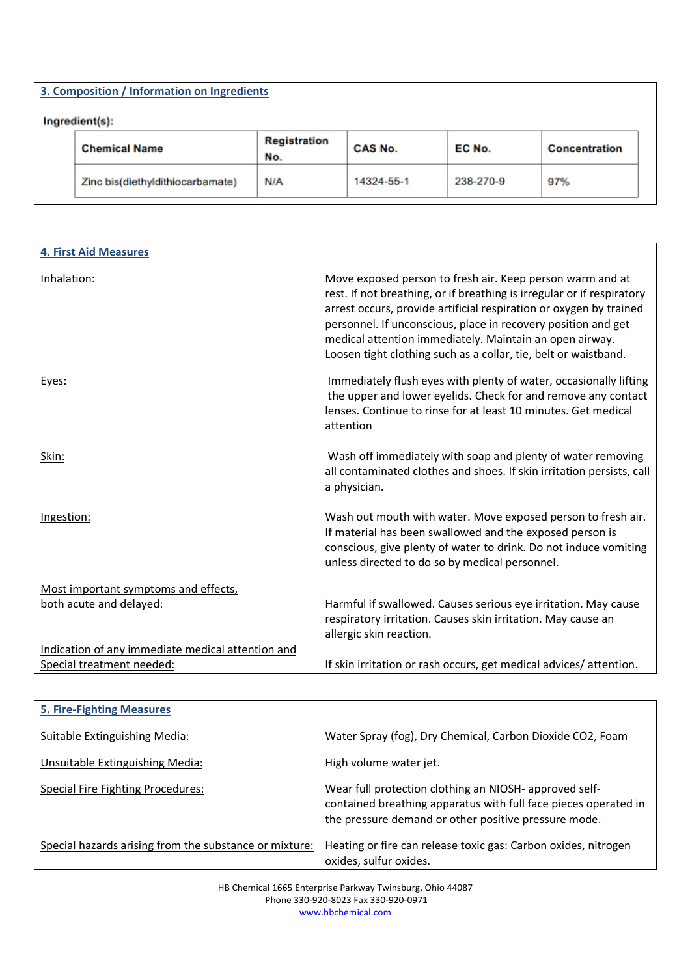| 3. Composition / Information on Ingredients |                            |            |           |               |
|---------------------------------------------|----------------------------|------------|-----------|---------------|
| Ingredient(s):<br><b>Chemical Name</b>      | <b>Registration</b><br>No. | CAS No.    | EC No.    | Concentration |
| Zinc bis(diethyldithiocarbamate)            | N/A                        | 14324-55-1 | 238-270-9 | 97%           |

| <b>4. First Aid Measures</b>                      |                                                                                                                                                                                                                                                                                                                                                                                                          |
|---------------------------------------------------|----------------------------------------------------------------------------------------------------------------------------------------------------------------------------------------------------------------------------------------------------------------------------------------------------------------------------------------------------------------------------------------------------------|
| Inhalation:                                       | Move exposed person to fresh air. Keep person warm and at<br>rest. If not breathing, or if breathing is irregular or if respiratory<br>arrest occurs, provide artificial respiration or oxygen by trained<br>personnel. If unconscious, place in recovery position and get<br>medical attention immediately. Maintain an open airway.<br>Loosen tight clothing such as a collar, tie, belt or waistband. |
| Eyes:                                             | Immediately flush eyes with plenty of water, occasionally lifting<br>the upper and lower eyelids. Check for and remove any contact<br>lenses. Continue to rinse for at least 10 minutes. Get medical<br>attention                                                                                                                                                                                        |
| Skin:                                             | Wash off immediately with soap and plenty of water removing<br>all contaminated clothes and shoes. If skin irritation persists, call<br>a physician.                                                                                                                                                                                                                                                     |
| Ingestion:                                        | Wash out mouth with water. Move exposed person to fresh air.<br>If material has been swallowed and the exposed person is<br>conscious, give plenty of water to drink. Do not induce vomiting<br>unless directed to do so by medical personnel.                                                                                                                                                           |
| Most important symptoms and effects,              |                                                                                                                                                                                                                                                                                                                                                                                                          |
| both acute and delayed:                           | Harmful if swallowed. Causes serious eye irritation. May cause<br>respiratory irritation. Causes skin irritation. May cause an<br>allergic skin reaction.                                                                                                                                                                                                                                                |
| Indication of any immediate medical attention and |                                                                                                                                                                                                                                                                                                                                                                                                          |
| Special treatment needed:                         | If skin irritation or rash occurs, get medical advices/attention.                                                                                                                                                                                                                                                                                                                                        |
|                                                   |                                                                                                                                                                                                                                                                                                                                                                                                          |
| <b>5. Fire-Fighting Measures</b>                  |                                                                                                                                                                                                                                                                                                                                                                                                          |
| <b>Suitable Extinguishing Media:</b>              | Water Spray (fog), Dry Chemical, Carbon Dioxide CO2, Foam                                                                                                                                                                                                                                                                                                                                                |

| Suitable Extinguishing Media:                          | Water Spray (fog), Dry Chemical, Carbon Dioxide CO2, Foam                                                                                                                         |
|--------------------------------------------------------|-----------------------------------------------------------------------------------------------------------------------------------------------------------------------------------|
| Unsuitable Extinguishing Media:                        | High volume water jet.                                                                                                                                                            |
| Special Fire Fighting Procedures:                      | Wear full protection clothing an NIOSH- approved self-<br>contained breathing apparatus with full face pieces operated in<br>the pressure demand or other positive pressure mode. |
| Special hazards arising from the substance or mixture: | Heating or fire can release toxic gas: Carbon oxides, nitrogen<br>oxides, sulfur oxides.                                                                                          |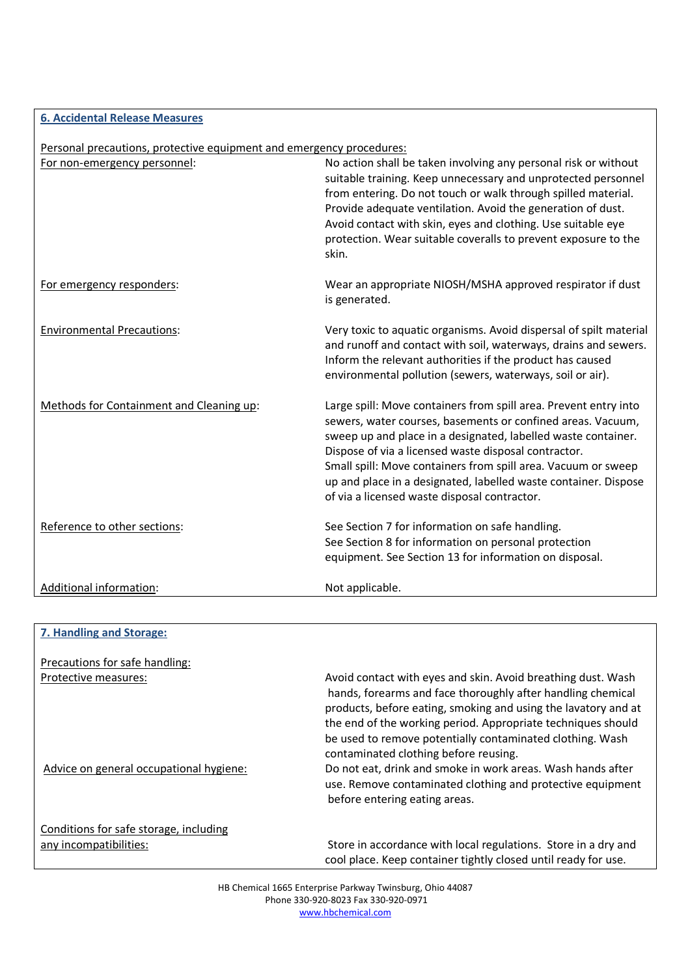### **6. Accidental Release Measures**

## Personal precautions, protective equipment and emergency procedures:

| For non-emergency personnel:             | No action shall be taken involving any personal risk or without<br>suitable training. Keep unnecessary and unprotected personnel<br>from entering. Do not touch or walk through spilled material.<br>Provide adequate ventilation. Avoid the generation of dust.<br>Avoid contact with skin, eyes and clothing. Use suitable eye<br>protection. Wear suitable coveralls to prevent exposure to the<br>skin.                                  |
|------------------------------------------|----------------------------------------------------------------------------------------------------------------------------------------------------------------------------------------------------------------------------------------------------------------------------------------------------------------------------------------------------------------------------------------------------------------------------------------------|
| For emergency responders:                | Wear an appropriate NIOSH/MSHA approved respirator if dust<br>is generated.                                                                                                                                                                                                                                                                                                                                                                  |
| <b>Environmental Precautions:</b>        | Very toxic to aquatic organisms. Avoid dispersal of spilt material<br>and runoff and contact with soil, waterways, drains and sewers.<br>Inform the relevant authorities if the product has caused<br>environmental pollution (sewers, waterways, soil or air).                                                                                                                                                                              |
| Methods for Containment and Cleaning up: | Large spill: Move containers from spill area. Prevent entry into<br>sewers, water courses, basements or confined areas. Vacuum,<br>sweep up and place in a designated, labelled waste container.<br>Dispose of via a licensed waste disposal contractor.<br>Small spill: Move containers from spill area. Vacuum or sweep<br>up and place in a designated, labelled waste container. Dispose<br>of via a licensed waste disposal contractor. |
| Reference to other sections:             | See Section 7 for information on safe handling.<br>See Section 8 for information on personal protection<br>equipment. See Section 13 for information on disposal.                                                                                                                                                                                                                                                                            |
| Additional information:                  | Not applicable.                                                                                                                                                                                                                                                                                                                                                                                                                              |

| 7. Handling and Storage:                                         |                                                                                                                                                                                                                                                                                                                                                                     |
|------------------------------------------------------------------|---------------------------------------------------------------------------------------------------------------------------------------------------------------------------------------------------------------------------------------------------------------------------------------------------------------------------------------------------------------------|
| Precautions for safe handling:                                   |                                                                                                                                                                                                                                                                                                                                                                     |
| Protective measures:                                             | Avoid contact with eyes and skin. Avoid breathing dust. Wash<br>hands, forearms and face thoroughly after handling chemical<br>products, before eating, smoking and using the lavatory and at<br>the end of the working period. Appropriate techniques should<br>be used to remove potentially contaminated clothing. Wash<br>contaminated clothing before reusing. |
| Advice on general occupational hygiene:                          | Do not eat, drink and smoke in work areas. Wash hands after<br>use. Remove contaminated clothing and protective equipment<br>before entering eating areas.                                                                                                                                                                                                          |
| Conditions for safe storage, including<br>any incompatibilities: | Store in accordance with local regulations. Store in a dry and<br>cool place. Keep container tightly closed until ready for use.                                                                                                                                                                                                                                    |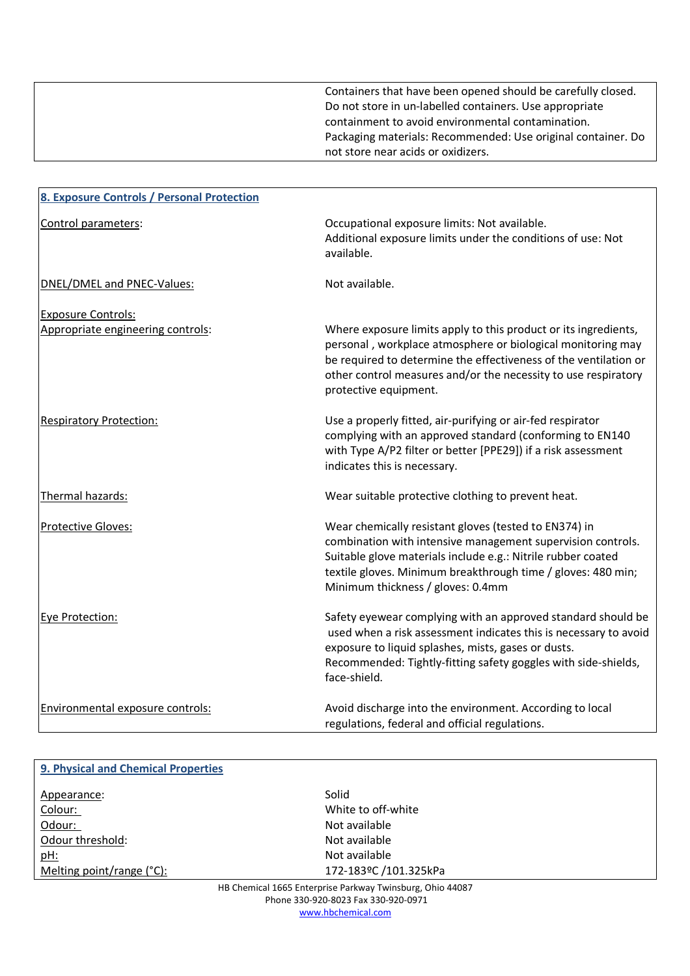Containers that have been opened should be carefully closed. Do not store in un-labelled containers. Use appropriate containment to avoid environmental contamination. Packaging materials: Recommended: Use original container. Do not store near acids or oxidizers.

| 8. Exposure Controls / Personal Protection |                                                                                                                                                                                                                                                                                               |
|--------------------------------------------|-----------------------------------------------------------------------------------------------------------------------------------------------------------------------------------------------------------------------------------------------------------------------------------------------|
| Control parameters:                        | Occupational exposure limits: Not available.<br>Additional exposure limits under the conditions of use: Not<br>available.                                                                                                                                                                     |
| DNEL/DMEL and PNEC-Values:                 | Not available.                                                                                                                                                                                                                                                                                |
| <b>Exposure Controls:</b>                  |                                                                                                                                                                                                                                                                                               |
| Appropriate engineering controls:          | Where exposure limits apply to this product or its ingredients,<br>personal, workplace atmosphere or biological monitoring may<br>be required to determine the effectiveness of the ventilation or<br>other control measures and/or the necessity to use respiratory<br>protective equipment. |
| <b>Respiratory Protection:</b>             | Use a properly fitted, air-purifying or air-fed respirator<br>complying with an approved standard (conforming to EN140<br>with Type A/P2 filter or better [PPE29]) if a risk assessment<br>indicates this is necessary.                                                                       |
| Thermal hazards:                           | Wear suitable protective clothing to prevent heat.                                                                                                                                                                                                                                            |
| Protective Gloves:                         | Wear chemically resistant gloves (tested to EN374) in<br>combination with intensive management supervision controls.<br>Suitable glove materials include e.g.: Nitrile rubber coated<br>textile gloves. Minimum breakthrough time / gloves: 480 min;<br>Minimum thickness / gloves: 0.4mm     |
| Eye Protection:                            | Safety eyewear complying with an approved standard should be<br>used when a risk assessment indicates this is necessary to avoid<br>exposure to liquid splashes, mists, gases or dusts.<br>Recommended: Tightly-fitting safety goggles with side-shields,<br>face-shield.                     |
| Environmental exposure controls:           | Avoid discharge into the environment. According to local<br>regulations, federal and official regulations.                                                                                                                                                                                    |

| 9. Physical and Chemical Properties                       |                       |  |
|-----------------------------------------------------------|-----------------------|--|
| Appearance:                                               | Solid                 |  |
| Colour:                                                   | White to off-white    |  |
| Odour:                                                    | Not available         |  |
| Odour threshold:                                          | Not available         |  |
| pH:                                                       | Not available         |  |
| Melting point/range (°C):                                 | 172-183ºC /101.325kPa |  |
| HR Chamical 1665 Enterprise Darkway Twinsburg, Obio 44087 |                       |  |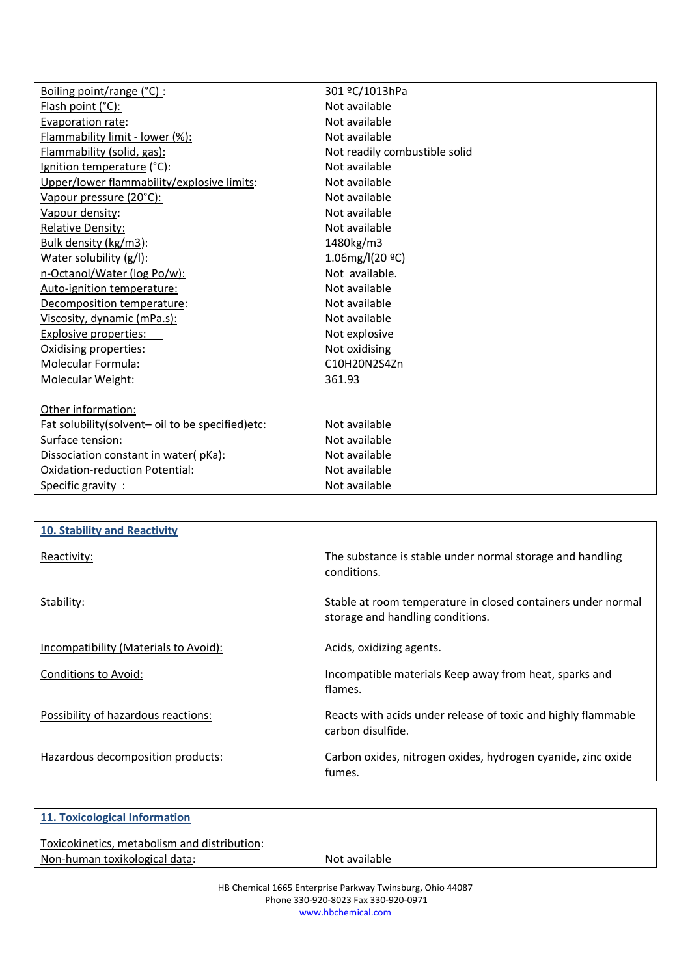| Boiling point/range (°C) :                       | 301 ºC/1013hPa                |
|--------------------------------------------------|-------------------------------|
| Flash point (°C):                                | Not available                 |
| Evaporation rate:                                | Not available                 |
| Flammability limit - lower (%):                  | Not available                 |
| Flammability (solid, gas):                       | Not readily combustible solid |
| Ignition temperature (°C):                       | Not available                 |
| Upper/lower flammability/explosive limits:       | Not available                 |
| Vapour pressure (20°C):                          | Not available                 |
| Vapour density:                                  | Not available                 |
| <b>Relative Density:</b>                         | Not available                 |
| Bulk density (kg/m3):                            | 1480kg/m3                     |
| Water solubility (g/l):                          | 1.06mg/l(20 °C)               |
| n-Octanol/Water (log Po/w):                      | Not available.                |
| Auto-ignition temperature:                       | Not available                 |
| Decomposition temperature:                       | Not available                 |
| Viscosity, dynamic (mPa.s):                      | Not available                 |
| <b>Explosive properties:</b>                     | Not explosive                 |
| Oxidising properties:                            | Not oxidising                 |
| Molecular Formula:                               | C10H20N2S4Zn                  |
| Molecular Weight:                                | 361.93                        |
|                                                  |                               |
| Other information:                               |                               |
| Fat solubility(solvent- oil to be specified)etc: | Not available                 |
| Surface tension:                                 | Not available                 |
| Dissociation constant in water(pKa):             | Not available                 |
| Oxidation-reduction Potential:                   | Not available                 |
| Specific gravity:                                | Not available                 |

| 10. Stability and Reactivity          |                                                                                                  |
|---------------------------------------|--------------------------------------------------------------------------------------------------|
| Reactivity:                           | The substance is stable under normal storage and handling<br>conditions.                         |
| Stability:                            | Stable at room temperature in closed containers under normal<br>storage and handling conditions. |
| Incompatibility (Materials to Avoid): | Acids, oxidizing agents.                                                                         |
| Conditions to Avoid:                  | Incompatible materials Keep away from heat, sparks and<br>flames.                                |
| Possibility of hazardous reactions:   | Reacts with acids under release of toxic and highly flammable<br>carbon disulfide.               |
| Hazardous decomposition products:     | Carbon oxides, nitrogen oxides, hydrogen cyanide, zinc oxide<br>fumes.                           |

| 11. Toxicological Information                |               |
|----------------------------------------------|---------------|
| Toxicokinetics, metabolism and distribution: |               |
| Non-human toxikological data:                | Not available |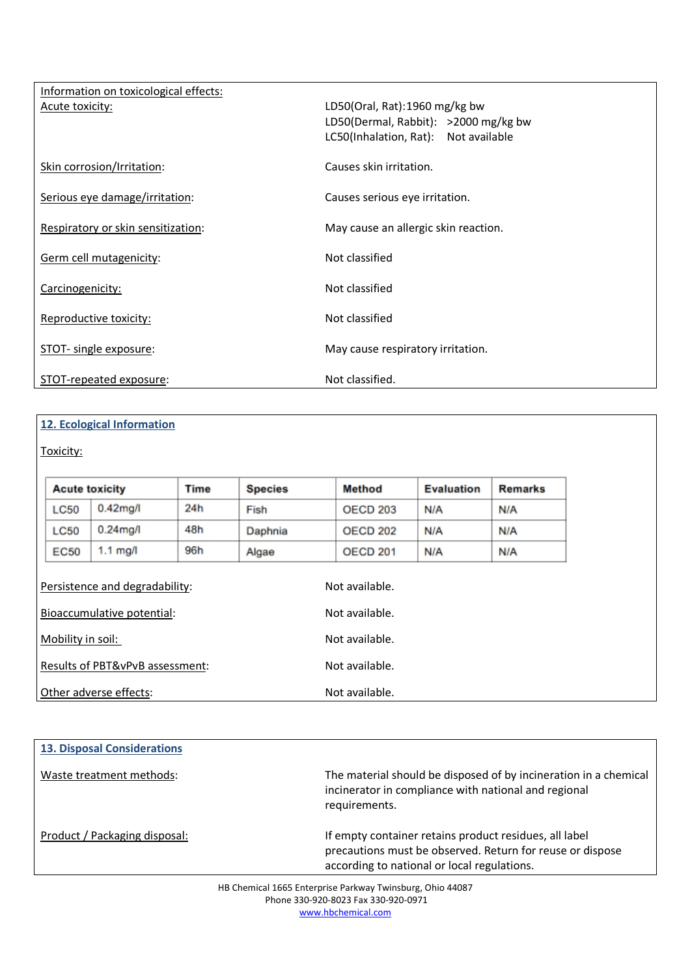| Information on toxicological effects: |                                      |
|---------------------------------------|--------------------------------------|
| Acute toxicity:                       | LD50(Oral, Rat):1960 mg/kg bw        |
|                                       | LD50(Dermal, Rabbit): >2000 mg/kg bw |
|                                       | LC50(Inhalation, Rat): Not available |
| Skin corrosion/Irritation:            | Causes skin irritation.              |
| Serious eye damage/irritation:        | Causes serious eye irritation.       |
| Respiratory or skin sensitization:    | May cause an allergic skin reaction. |
| Germ cell mutagenicity:               | Not classified                       |
| Carcinogenicity:                      | Not classified                       |
| Reproductive toxicity:                | Not classified                       |
| STOT- single exposure:                | May cause respiratory irritation.    |
| STOT-repeated exposure:               | Not classified.                      |

# 12. Ecological Information

Other adverse effects:

Toxicity:

|                                 | <b>Acute toxicity</b>                                        | Time | <b>Species</b> | Method                           | <b>Evaluation</b> | <b>Remarks</b> |
|---------------------------------|--------------------------------------------------------------|------|----------------|----------------------------------|-------------------|----------------|
| <b>LC50</b>                     | $0.42$ mg/l                                                  | 24h  | Fish           | <b>OECD 203</b>                  | N/A               | N/A            |
| <b>LC50</b>                     | $0.24$ mg/l                                                  | 48h  | Daphnia        | <b>OECD 202</b>                  | N/A               | N/A            |
| EC50                            | $1.1 \text{ mg}/I$                                           | 96h  | Algae          | <b>OECD 201</b>                  | N/A               | N/A            |
|                                 | Persistence and degradability:<br>Bioaccumulative potential: |      |                | Not available.<br>Not available. |                   |                |
|                                 |                                                              |      |                |                                  |                   |                |
| Mobility in soil:               |                                                              |      |                | Not available.                   |                   |                |
| Results of PBT&vPvB assessment: |                                                              |      | Not available. |                                  |                   |                |

| <b>13. Disposal Considerations</b> |                                                                                                                                                                    |
|------------------------------------|--------------------------------------------------------------------------------------------------------------------------------------------------------------------|
| Waste treatment methods:           | The material should be disposed of by incineration in a chemical<br>incinerator in compliance with national and regional<br>requirements.                          |
| Product / Packaging disposal:      | If empty container retains product residues, all label<br>precautions must be observed. Return for reuse or dispose<br>according to national or local regulations. |

Not available.